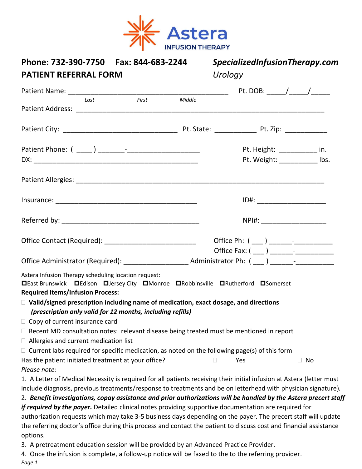

| Phone: 732-390-7750<br>Fax: 844-683-2244<br><b>PATIENT REFERRAL FORM</b>                                                                                                                                                                                                                                                                                                                                                                                                                                                                                                                                                                                                                                                                                                                                                         | SpecializedInfusionTherapy.com<br>Urology                   |
|----------------------------------------------------------------------------------------------------------------------------------------------------------------------------------------------------------------------------------------------------------------------------------------------------------------------------------------------------------------------------------------------------------------------------------------------------------------------------------------------------------------------------------------------------------------------------------------------------------------------------------------------------------------------------------------------------------------------------------------------------------------------------------------------------------------------------------|-------------------------------------------------------------|
|                                                                                                                                                                                                                                                                                                                                                                                                                                                                                                                                                                                                                                                                                                                                                                                                                                  |                                                             |
| <b>First</b><br>Middle<br>Last                                                                                                                                                                                                                                                                                                                                                                                                                                                                                                                                                                                                                                                                                                                                                                                                   |                                                             |
|                                                                                                                                                                                                                                                                                                                                                                                                                                                                                                                                                                                                                                                                                                                                                                                                                                  |                                                             |
|                                                                                                                                                                                                                                                                                                                                                                                                                                                                                                                                                                                                                                                                                                                                                                                                                                  | Pt. Height: ___________ in.<br>Pt. Weight: ___________ lbs. |
|                                                                                                                                                                                                                                                                                                                                                                                                                                                                                                                                                                                                                                                                                                                                                                                                                                  |                                                             |
|                                                                                                                                                                                                                                                                                                                                                                                                                                                                                                                                                                                                                                                                                                                                                                                                                                  |                                                             |
|                                                                                                                                                                                                                                                                                                                                                                                                                                                                                                                                                                                                                                                                                                                                                                                                                                  | NPI#: ________________________                              |
| Office Contact (Required): ___________________________                                                                                                                                                                                                                                                                                                                                                                                                                                                                                                                                                                                                                                                                                                                                                                           |                                                             |
|                                                                                                                                                                                                                                                                                                                                                                                                                                                                                                                                                                                                                                                                                                                                                                                                                                  |                                                             |
| Astera Infusion Therapy scheduling location request:<br><b>□East Brunswick □Edison □Jersey City □Monroe □Robbinsville □Rutherford □Somerset</b><br><b>Required Items/Infusion Process:</b><br>$\Box$ Valid/signed prescription including name of medication, exact dosage, and directions<br>(prescription only valid for 12 months, including refills)<br>$\Box$ Copy of current insurance card<br>$\Box$ Recent MD consultation notes: relevant disease being treated must be mentioned in report<br>$\Box$ Allergies and current medication list<br>$\Box$ Current labs required for specific medication, as noted on the following page(s) of this form<br>Has the patient initiated treatment at your office?                                                                                                               | $\Box$ No<br>Yes                                            |
| Please note:<br>1. A Letter of Medical Necessity is required for all patients receiving their initial infusion at Astera (letter must<br>include diagnosis, previous treatments/response to treatments and be on letterhead with physician signature).<br>2. Benefit investigations, copay assistance and prior authorizations will be handled by the Astera precert staff<br>if required by the payer. Detailed clinical notes providing supportive documentation are required for<br>authorization requests which may take 3-5 business days depending on the payer. The precert staff will update<br>the referring doctor's office during this process and contact the patient to discuss cost and financial assistance<br>options.<br>3. A pretreatment education session will be provided by an Advanced Practice Provider. |                                                             |
| 4. Once the infusion is complete, a follow-up notice will be faxed to the to the referring provider.                                                                                                                                                                                                                                                                                                                                                                                                                                                                                                                                                                                                                                                                                                                             |                                                             |

*Page 1*